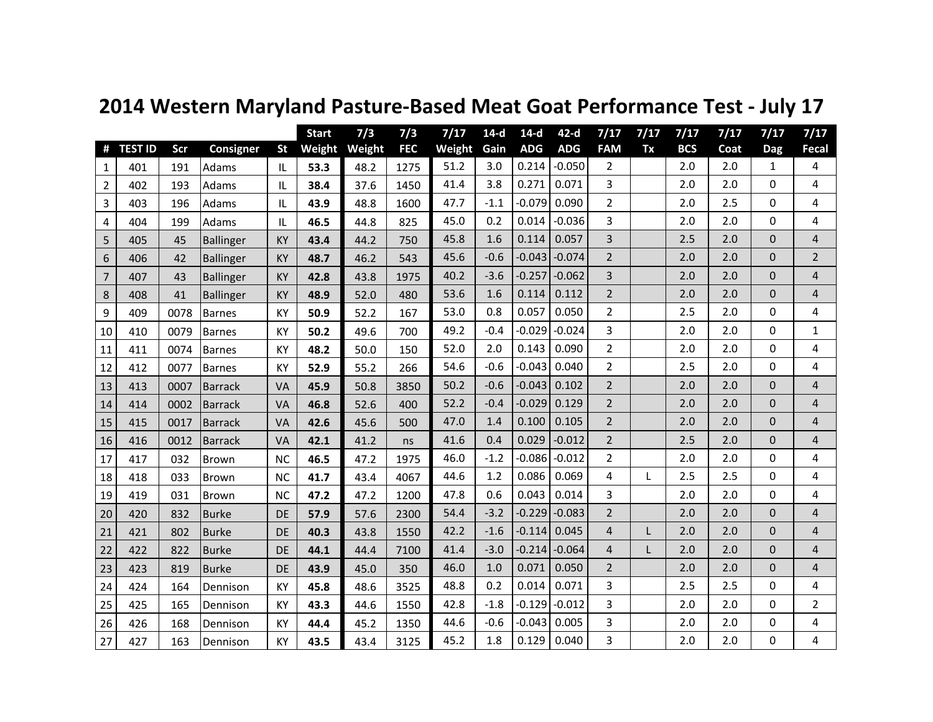|                |                |      |                  |           | <b>Start</b> | 7/3    | 7/3        | 7/17   | $14-d$ | $14-d$     | $42-d$     | 7/17           | 7/17         | 7/17       | 7/17 | 7/17         | 7/17                    |
|----------------|----------------|------|------------------|-----------|--------------|--------|------------|--------|--------|------------|------------|----------------|--------------|------------|------|--------------|-------------------------|
| #              | <b>TEST ID</b> | Scr  | <b>Consigner</b> | <b>St</b> | Weight       | Weight | <b>FEC</b> | Weight | Gain   | <b>ADG</b> | <b>ADG</b> | <b>FAM</b>     | Tx           | <b>BCS</b> | Coat | <b>Dag</b>   | Fecal                   |
| 1              | 401            | 191  | Adams            | IL        | 53.3         | 48.2   | 1275       | 51.2   | 3.0    | 0.214      | $-0.050$   | 2              |              | 2.0        | 2.0  | 1            | 4                       |
| $\overline{2}$ | 402            | 193  | Adams            | IL        | 38.4         | 37.6   | 1450       | 41.4   | 3.8    | 0.271      | 0.071      | 3              |              | 2.0        | 2.0  | 0            | 4                       |
| 3              | 403            | 196  | Adams            | IL        | 43.9         | 48.8   | 1600       | 47.7   | $-1.1$ | $-0.079$   | 0.090      | $\overline{2}$ |              | 2.0        | 2.5  | 0            | 4                       |
| 4              | 404            | 199  | Adams            | IL        | 46.5         | 44.8   | 825        | 45.0   | 0.2    | 0.014      | $-0.036$   | 3              |              | 2.0        | 2.0  | $\Omega$     | 4                       |
| 5              | 405            | 45   | <b>Ballinger</b> | KY        | 43.4         | 44.2   | 750        | 45.8   | 1.6    | 0.114      | 0.057      | 3              |              | 2.5        | 2.0  | $\mathbf{0}$ | 4                       |
| 6              | 406            | 42   | <b>Ballinger</b> | KY        | 48.7         | 46.2   | 543        | 45.6   | $-0.6$ | $-0.043$   | $-0.074$   | $\overline{2}$ |              | 2.0        | 2.0  | $\mathbf 0$  | $\overline{2}$          |
| $\overline{7}$ | 407            | 43   | <b>Ballinger</b> | KY        | 42.8         | 43.8   | 1975       | 40.2   | $-3.6$ | $-0.257$   | $-0.062$   | 3              |              | 2.0        | 2.0  | $\mathbf 0$  | $\overline{4}$          |
| 8              | 408            | 41   | <b>Ballinger</b> | KY        | 48.9         | 52.0   | 480        | 53.6   | 1.6    | 0.114      | 0.112      | $\overline{2}$ |              | 2.0        | 2.0  | 0            | $\overline{\mathbf{4}}$ |
| 9              | 409            | 0078 | Barnes           | KY        | 50.9         | 52.2   | 167        | 53.0   | 0.8    | 0.057      | 0.050      | $\overline{2}$ |              | 2.5        | 2.0  | $\Omega$     | 4                       |
| 10             | 410            | 0079 | Barnes           | KY        | 50.2         | 49.6   | 700        | 49.2   | $-0.4$ | $-0.029$   | $-0.024$   | 3              |              | 2.0        | 2.0  | 0            | $\mathbf{1}$            |
| 11             | 411            | 0074 | Barnes           | KY        | 48.2         | 50.0   | 150        | 52.0   | 2.0    | 0.143      | 0.090      | $\overline{2}$ |              | 2.0        | 2.0  | $\Omega$     | 4                       |
| 12             | 412            | 0077 | <b>Barnes</b>    | KY        | 52.9         | 55.2   | 266        | 54.6   | $-0.6$ | $-0.043$   | 0.040      | $\overline{2}$ |              | 2.5        | 2.0  | 0            | 4                       |
| 13             | 413            | 0007 | <b>Barrack</b>   | VA        | 45.9         | 50.8   | 3850       | 50.2   | $-0.6$ | $-0.043$   | 0.102      | $\overline{2}$ |              | 2.0        | 2.0  | $\mathbf 0$  | $\overline{4}$          |
| 14             | 414            | 0002 | <b>Barrack</b>   | VA        | 46.8         | 52.6   | 400        | 52.2   | $-0.4$ | $-0.029$   | 0.129      | $\overline{2}$ |              | 2.0        | 2.0  | $\mathbf{0}$ | $\overline{4}$          |
| 15             | 415            | 0017 | <b>Barrack</b>   | VA        | 42.6         | 45.6   | 500        | 47.0   | 1.4    | 0.100      | 0.105      | $\overline{2}$ |              | 2.0        | 2.0  | 0            | 4                       |
| 16             | 416            | 0012 | <b>Barrack</b>   | VA        | 42.1         | 41.2   | ns         | 41.6   | 0.4    | 0.029      | $-0.012$   | $\overline{2}$ |              | 2.5        | 2.0  | $\mathbf 0$  | $\overline{4}$          |
| 17             | 417            | 032  | Brown            | <b>NC</b> | 46.5         | 47.2   | 1975       | 46.0   | $-1.2$ | $-0.086$   | $-0.012$   | $\overline{2}$ |              | 2.0        | 2.0  | 0            | 4                       |
| 18             | 418            | 033  | <b>Brown</b>     | <b>NC</b> | 41.7         | 43.4   | 4067       | 44.6   | 1.2    | 0.086      | 0.069      | 4              | $\mathsf{L}$ | 2.5        | 2.5  | $\Omega$     | 4                       |
| 19             | 419            | 031  | <b>Brown</b>     | <b>NC</b> | 47.2         | 47.2   | 1200       | 47.8   | 0.6    | 0.043      | 0.014      | 3              |              | 2.0        | 2.0  | 0            | 4                       |
| 20             | 420            | 832  | <b>Burke</b>     | <b>DE</b> | 57.9         | 57.6   | 2300       | 54.4   | $-3.2$ | $-0.229$   | $-0.083$   | $\overline{2}$ |              | 2.0        | 2.0  | $\mathbf 0$  | $\overline{4}$          |
| 21             | 421            | 802  | <b>Burke</b>     | DE        | 40.3         | 43.8   | 1550       | 42.2   | $-1.6$ | $-0.114$   | 0.045      | $\overline{4}$ |              | 2.0        | 2.0  | $\mathbf 0$  | $\overline{4}$          |
| 22             | 422            | 822  | <b>Burke</b>     | DE        | 44.1         | 44.4   | 7100       | 41.4   | $-3.0$ | $-0.214$   | $-0.064$   | 4              |              | 2.0        | 2.0  | 0            | $\overline{4}$          |
| 23             | 423            | 819  | <b>Burke</b>     | DE        | 43.9         | 45.0   | 350        | 46.0   | 1.0    | 0.071      | 0.050      | $\overline{2}$ |              | 2.0        | 2.0  | $\mathbf 0$  | $\overline{4}$          |
| 24             | 424            | 164  | Dennison         | KY        | 45.8         | 48.6   | 3525       | 48.8   | 0.2    | 0.014      | 0.071      | 3              |              | 2.5        | 2.5  | 0            | 4                       |
| 25             | 425            | 165  | Dennison         | KY        | 43.3         | 44.6   | 1550       | 42.8   | $-1.8$ | $-0.129$   | $-0.012$   | 3              |              | 2.0        | 2.0  | 0            | $\overline{2}$          |
| 26             | 426            | 168  | Dennison         | KY        | 44.4         | 45.2   | 1350       | 44.6   | $-0.6$ | $-0.043$   | 0.005      | 3              |              | 2.0        | 2.0  | 0            | 4                       |
| 27             | 427            | 163  | Dennison         | KY        | 43.5         | 43.4   | 3125       | 45.2   | 1.8    | 0.129      | 0.040      | 3              |              | 2.0        | 2.0  | 0            | 4                       |

## **2014 Western Maryland Pasture-Based Meat Goat Performance Test - July 17**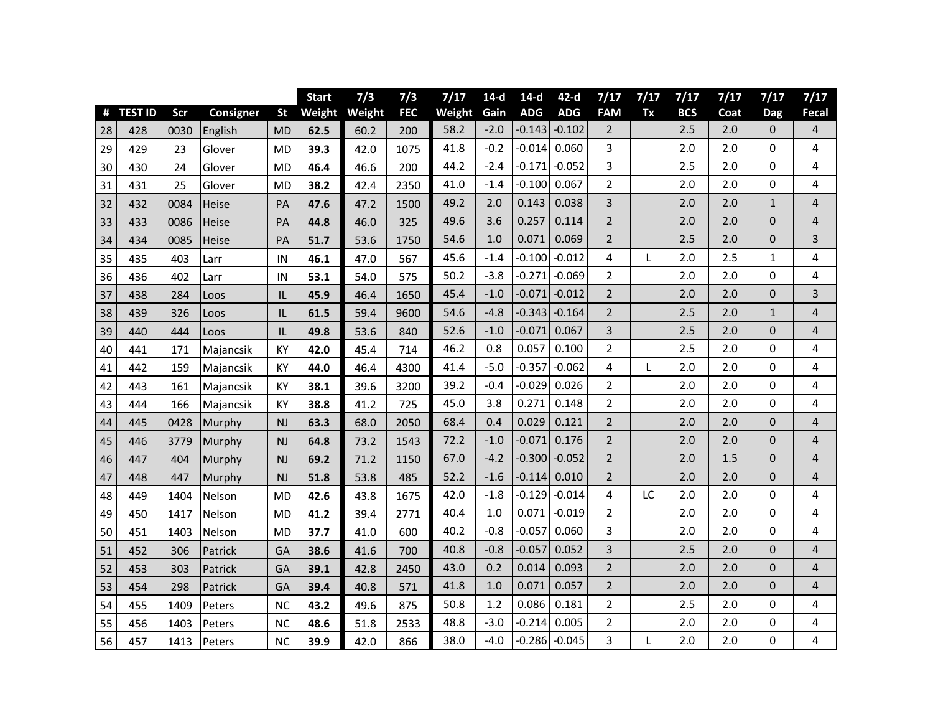|    |                |      |                  |           | <b>Start</b> | 7/3           | 7/3        | 7/17   | $14-d$ | $14-d$     | $42-d$     | 7/17           | 7/17 | 7/17       | 7/17 | 7/17           | 7/17                    |
|----|----------------|------|------------------|-----------|--------------|---------------|------------|--------|--------|------------|------------|----------------|------|------------|------|----------------|-------------------------|
| #  | <b>TEST ID</b> | Scr  | <b>Consigner</b> | <b>St</b> |              | Weight Weight | <b>FEC</b> | Weight | Gain   | <b>ADG</b> | <b>ADG</b> | <b>FAM</b>     | Tx   | <b>BCS</b> | Coat | <b>Dag</b>     | Fecal                   |
| 28 | 428            | 0030 | English          | <b>MD</b> | 62.5         | 60.2          | 200        | 58.2   | $-2.0$ | $-0.143$   | $-0.102$   | $\overline{2}$ |      | 2.5        | 2.0  | 0              | 4                       |
| 29 | 429            | 23   | Glover           | <b>MD</b> | 39.3         | 42.0          | 1075       | 41.8   | $-0.2$ | $-0.014$   | 0.060      | 3              |      | 2.0        | 2.0  | 0              | $\overline{\mathbf{4}}$ |
| 30 | 430            | 24   | Glover           | <b>MD</b> | 46.4         | 46.6          | 200        | 44.2   | $-2.4$ | $-0.171$   | $-0.052$   | 3              |      | 2.5        | 2.0  | 0              | 4                       |
| 31 | 431            | 25   | Glover           | <b>MD</b> | 38.2         | 42.4          | 2350       | 41.0   | $-1.4$ | $-0.100$   | 0.067      | $\overline{2}$ |      | 2.0        | 2.0  | $\mathbf 0$    | 4                       |
| 32 | 432            | 0084 | Heise            | PA        | 47.6         | 47.2          | 1500       | 49.2   | 2.0    | 0.143      | 0.038      | 3              |      | 2.0        | 2.0  | $\mathbf{1}$   | $\overline{4}$          |
| 33 | 433            | 0086 | Heise            | PA        | 44.8         | 46.0          | 325        | 49.6   | 3.6    | 0.257      | 0.114      | $\overline{2}$ |      | 2.0        | 2.0  | 0              | 4                       |
| 34 | 434            | 0085 | Heise            | PA        | 51.7         | 53.6          | 1750       | 54.6   | 1.0    | 0.071      | 0.069      | $\overline{2}$ |      | 2.5        | 2.0  | $\overline{0}$ | $\overline{3}$          |
| 35 | 435            | 403  | Larr             | IN        | 46.1         | 47.0          | 567        | 45.6   | $-1.4$ | $-0.100$   | $-0.012$   | 4              | L    | 2.0        | 2.5  | $\mathbf{1}$   | 4                       |
| 36 | 436            | 402  | Larr             | IN        | 53.1         | 54.0          | 575        | 50.2   | $-3.8$ | $-0.271$   | $-0.069$   | 2              |      | 2.0        | 2.0  | 0              | 4                       |
| 37 | 438            | 284  | Loos             | IL        | 45.9         | 46.4          | 1650       | 45.4   | $-1.0$ | $-0.071$   | $-0.012$   | $\overline{2}$ |      | 2.0        | 2.0  | 0              | 3                       |
| 38 | 439            | 326  | Loos             | IL        | 61.5         | 59.4          | 9600       | 54.6   | $-4.8$ | $-0.343$   | $-0.164$   | $\overline{2}$ |      | 2.5        | 2.0  | $\mathbf{1}$   | $\overline{4}$          |
| 39 | 440            | 444  | Loos             | IL        | 49.8         | 53.6          | 840        | 52.6   | $-1.0$ | $-0.071$   | 0.067      | 3              |      | 2.5        | 2.0  | 0              | 4                       |
| 40 | 441            | 171  | Majancsik        | KY        | 42.0         | 45.4          | 714        | 46.2   | 0.8    | 0.057      | 0.100      | $\overline{2}$ |      | 2.5        | 2.0  | 0              | 4                       |
| 41 | 442            | 159  | Majancsik        | KY        | 44.0         | 46.4          | 4300       | 41.4   | $-5.0$ | $-0.357$   | $-0.062$   | 4              | L    | 2.0        | 2.0  | 0              | 4                       |
| 42 | 443            | 161  | Majancsik        | KY        | 38.1         | 39.6          | 3200       | 39.2   | $-0.4$ | $-0.029$   | 0.026      | 2              |      | 2.0        | 2.0  | 0              | 4                       |
| 43 | 444            | 166  | Majancsik        | KY        | 38.8         | 41.2          | 725        | 45.0   | 3.8    | 0.271      | 0.148      | $\overline{2}$ |      | 2.0        | 2.0  | 0              | 4                       |
| 44 | 445            | 0428 | Murphy           | <b>NJ</b> | 63.3         | 68.0          | 2050       | 68.4   | 0.4    | 0.029      | 0.121      | $\overline{2}$ |      | 2.0        | 2.0  | 0              | $\overline{4}$          |
| 45 | 446            | 3779 | Murphy           | NJ        | 64.8         | 73.2          | 1543       | 72.2   | $-1.0$ | $-0.071$   | 0.176      | $\overline{2}$ |      | 2.0        | 2.0  | 0              | $\overline{4}$          |
| 46 | 447            | 404  | Murphy           | <b>NJ</b> | 69.2         | 71.2          | 1150       | 67.0   | $-4.2$ | $-0.300$   | $-0.052$   | $\overline{2}$ |      | 2.0        | 1.5  | 0              | $\overline{4}$          |
| 47 | 448            | 447  | Murphy           | NJ        | 51.8         | 53.8          | 485        | 52.2   | $-1.6$ | $-0.114$   | 0.010      | $\overline{2}$ |      | 2.0        | 2.0  | 0              | $\sqrt{4}$              |
| 48 | 449            | 1404 | Nelson           | <b>MD</b> | 42.6         | 43.8          | 1675       | 42.0   | $-1.8$ | $-0.129$   | $-0.014$   | 4              | LC   | 2.0        | 2.0  | 0              | 4                       |
| 49 | 450            | 1417 | Nelson           | <b>MD</b> | 41.2         | 39.4          | 2771       | 40.4   | 1.0    | 0.071      | $-0.019$   | $\overline{2}$ |      | 2.0        | 2.0  | 0              | 4                       |
| 50 | 451            | 1403 | Nelson           | <b>MD</b> | 37.7         | 41.0          | 600        | 40.2   | $-0.8$ | $-0.057$   | 0.060      | 3              |      | 2.0        | 2.0  | 0              | 4                       |
| 51 | 452            | 306  | Patrick          | GA        | 38.6         | 41.6          | 700        | 40.8   | $-0.8$ | $-0.057$   | 0.052      | 3              |      | 2.5        | 2.0  | 0              | $\overline{4}$          |
| 52 | 453            | 303  | Patrick          | GA        | 39.1         | 42.8          | 2450       | 43.0   | 0.2    | 0.014      | 0.093      | $\overline{2}$ |      | 2.0        | 2.0  | 0              | $\overline{4}$          |
| 53 | 454            | 298  | Patrick          | GA        | 39.4         | 40.8          | 571        | 41.8   | 1.0    | 0.071      | 0.057      | $\overline{2}$ |      | 2.0        | 2.0  | 0              | $\overline{4}$          |
| 54 | 455            | 1409 | Peters           | <b>NC</b> | 43.2         | 49.6          | 875        | 50.8   | 1.2    | 0.086      | 0.181      | $\overline{2}$ |      | 2.5        | 2.0  | 0              | 4                       |
| 55 | 456            | 1403 | Peters           | <b>NC</b> | 48.6         | 51.8          | 2533       | 48.8   | $-3.0$ | $-0.214$   | 0.005      | $\overline{2}$ |      | 2.0        | 2.0  | 0              | 4                       |
| 56 | 457            | 1413 | Peters           | <b>NC</b> | 39.9         | 42.0          | 866        | 38.0   | $-4.0$ | $-0.286$   | $-0.045$   | 3              | L    | 2.0        | 2.0  | 0              | 4                       |